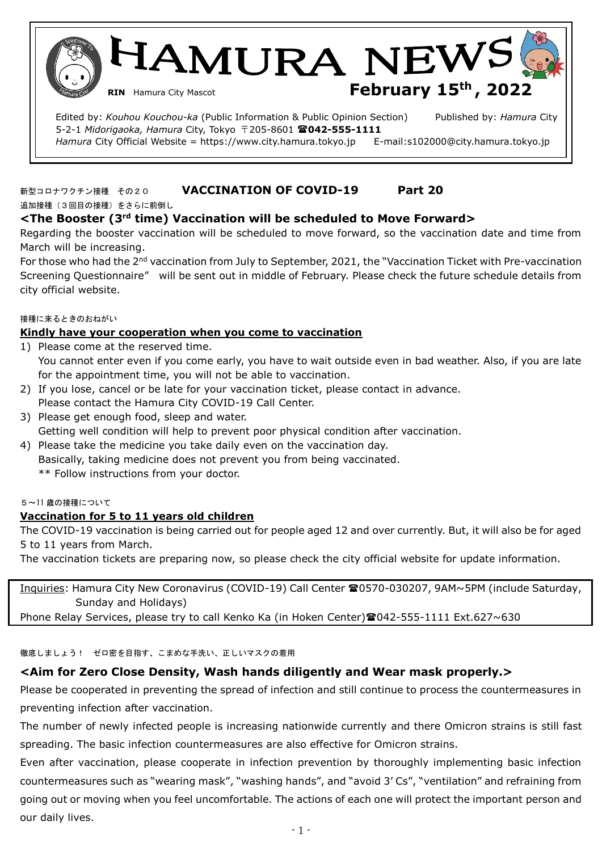HAMURA NEW! **RIN** Hamura City Mascot **February 15<sup>th</sup>, 2022** 

 Edited by: *Kouhou Kouchou-ka* (Public Information & Public Opinion Section) Published by: *Hamura* City 5-2-1 *Midorigaoka, Hamura* City, Tokyo 〒205-8601 **042-555-1111**  *Hamura* City Official Website = https://www.city.hamura.tokyo.jp E-mail:s102000@city.hamura.tokyo.jp

# 新型コロナワクチン接種 その20 **VACCINATION OF COVID-19 Part 20**

追加接種(3回目の接種)をさらに前倒し

ĺ.

# **<The Booster (3rd time) Vaccination will be scheduled to Move Forward>**

Regarding the booster vaccination will be scheduled to move forward, so the vaccination date and time from March will be increasing.

For those who had the 2<sup>nd</sup> vaccination from July to September, 2021, the "Vaccination Ticket with Pre-vaccination Screening Questionnaire" will be sent out in middle of February. Please check the future schedule details from city official website.

#### 接種に来るときのおねがい

## **Kindly have your cooperation when you come to vaccination**

- 1) Please come at the reserved time. You cannot enter even if you come early, you have to wait outside even in bad weather. Also, if you are late for the appointment time, you will not be able to vaccination.
- 2) If you lose, cancel or be late for your vaccination ticket, please contact in advance. Please contact the Hamura City COVID-19 Call Center.
- 3) Please get enough food, sleep and water. Getting well condition will help to prevent poor physical condition after vaccination.
- 4) Please take the medicine you take daily even on the vaccination day. Basically, taking medicine does not prevent you from being vaccinated. \*\* Follow instructions from your doctor.

#### 5~11 歳の接種について

# **Vaccination for 5 to 11 years old children**

The COVID-19 vaccination is being carried out for people aged 12 and over currently. But, it will also be for aged 5 to 11 years from March.

The vaccination tickets are preparing now, so please check the city official website for update information.

Inquiries: Hamura City New Coronavirus (COVID-19) Call Center <sup>2</sup>0570-030207, 9AM~5PM (include Saturday, Sunday and Holidays)

Phone Relay Services, please try to call Kenko Ka (in Hoken Center) 2042-555-1111 Ext.627~630

徹底しましょう! ゼロ密を目指す、こまめな手洗い、正しいマスクの着用

# **<Aim for Zero Close Density, Wash hands diligently and Wear mask properly.>**

Please be cooperated in preventing the spread of infection and still continue to process the countermeasures in preventing infection after vaccination.

The number of newly infected people is increasing nationwide currently and there Omicron strains is still fast spreading. The basic infection countermeasures are also effective for Omicron strains.

Even after vaccination, please cooperate in infection prevention by thoroughly implementing basic infection countermeasures such as "wearing mask", "washing hands", and "avoid 3' Cs", "ventilation" and refraining from going out or moving when you feel uncomfortable. The actions of each one will protect the important person and our daily lives.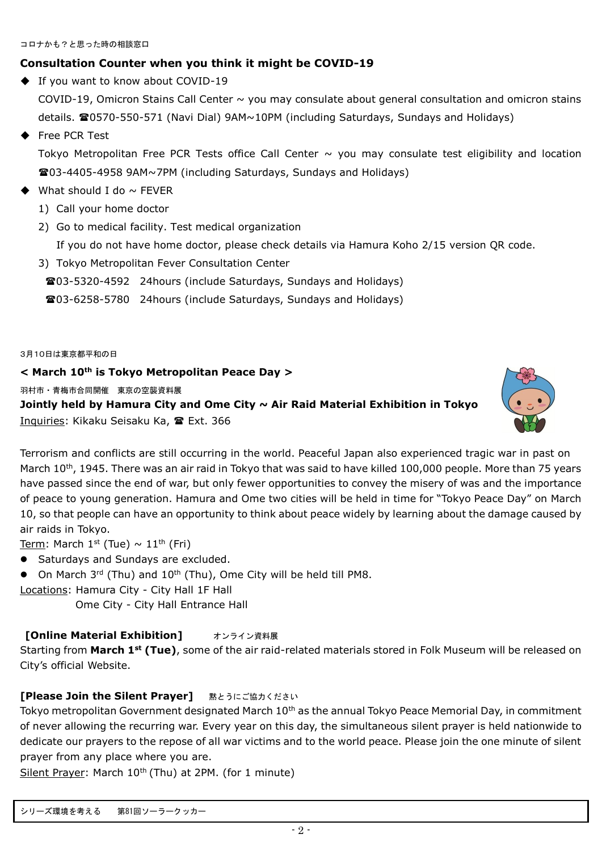# **Consultation Counter when you think it might be COVID-19**

◆ If you want to know about COVID-19

COVID-19, Omicron Stains Call Center  $\sim$  you may consulate about general consultation and omicron stains details. **20570-550-571 (Navi Dial) 9AM~10PM (including Saturdays, Sundays and Holidays)** 

# ◆ Free PCR Test

Tokyo Metropolitan Free PCR Tests office Call Center  $\sim$  you may consulate test eligibility and location 03-4405-4958 9AM~7PM (including Saturdays, Sundays and Holidays)

- What should I do  $\sim$  FEVER
	- 1) Call your home doctor
	- 2) Go to medical facility. Test medical organization

If you do not have home doctor, please check details via Hamura Koho 2/15 version QR code.

- 3) Tokyo Metropolitan Fever Consultation Center
	- 03-5320-4592 24hours (include Saturdays, Sundays and Holidays)
	- 03-6258-5780 24hours (include Saturdays, Sundays and Holidays)

3月10日は東京都平和の日

# **< March 10th is Tokyo Metropolitan Peace Day >**

羽村市・青梅市合同開催 東京の空襲資料展

**Jointly held by Hamura City and Ome City ~ Air Raid Material Exhibition in Tokyo** Inquiries: Kikaku Seisaku Ka, 雷 Ext. 366



Terrorism and conflicts are still occurring in the world. Peaceful Japan also experienced tragic war in past on March 10<sup>th</sup>, 1945. There was an air raid in Tokyo that was said to have killed 100,000 people. More than 75 years have passed since the end of war, but only fewer opportunities to convey the misery of was and the importance of peace to young generation. Hamura and Ome two cities will be held in time for "Tokyo Peace Day" on March 10, so that people can have an opportunity to think about peace widely by learning about the damage caused by air raids in Tokyo.

<u>Term</u>: March 1st (Tue)  $\sim 11^{\text{th}}$  (Fri)

- Saturdays and Sundays are excluded.
- $\bullet$  On March 3<sup>rd</sup> (Thu) and 10<sup>th</sup> (Thu), Ome City will be held till PM8.
- Locations: Hamura City City Hall 1F Hall

Ome City - City Hall Entrance Hall

# **[Online Material Exhibition] オンライン資料展**

Starting from **March 1st (Tue)**, some of the air raid-related materials stored in Folk Museum will be released on City's official Website.

# **[Please Join the Silent Prayer] まとうにご協力ください**

Tokyo metropolitan Government designated March  $10<sup>th</sup>$  as the annual Tokyo Peace Memorial Day, in commitment of never allowing the recurring war. Every year on this day, the simultaneous silent prayer is held nationwide to dedicate our prayers to the repose of all war victims and to the world peace. Please join the one minute of silent prayer from any place where you are.

Silent Prayer: March  $10^{th}$  (Thu) at 2PM. (for 1 minute)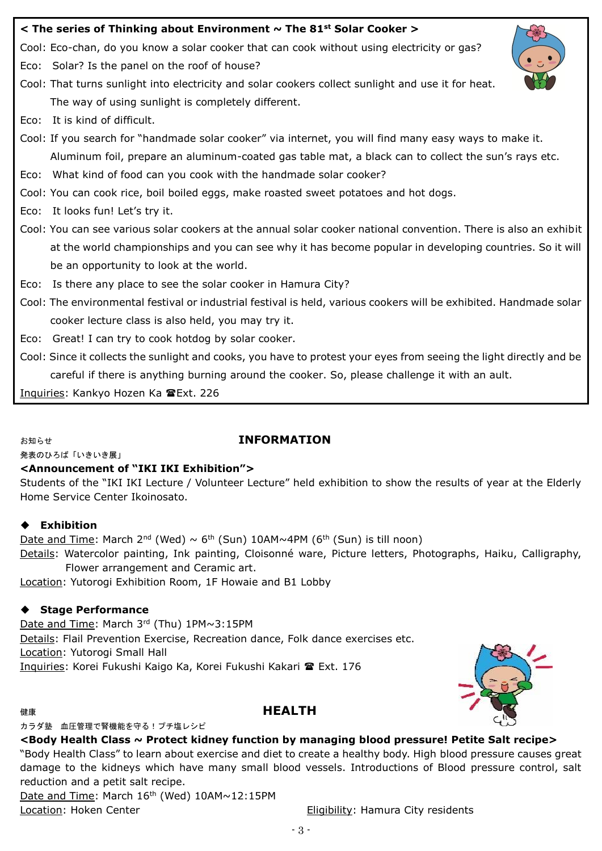## **< The series of Thinking about Environment ~ The 81st Solar Cooker >**

Cool: Eco-chan, do you know a solar cooker that can cook without using electricity or gas?

Eco: Solar? Is the panel on the roof of house?

Cool: That turns sunlight into electricity and solar cookers collect sunlight and use it for heat. The way of using sunlight is completely different.

Eco: It is kind of difficult.

Cool: If you search for "handmade solar cooker" via internet, you will find many easy ways to make it. Aluminum foil, prepare an aluminum-coated gas table mat, a black can to collect the sun's rays etc.

Eco: What kind of food can you cook with the handmade solar cooker?

Cool: You can cook rice, boil boiled eggs, make roasted sweet potatoes and hot dogs.

Eco: It looks fun! Let's try it.

Cool: You can see various solar cookers at the annual solar cooker national convention. There is also an exhibit at the world championships and you can see why it has become popular in developing countries. So it will be an opportunity to look at the world.

Eco: Is there any place to see the solar cooker in Hamura City?

Cool: The environmental festival or industrial festival is held, various cookers will be exhibited. Handmade solar cooker lecture class is also held, you may try it.

Eco: Great! I can try to cook hotdog by solar cooker.

Cool: Since it collects the sunlight and cooks, you have to protest your eyes from seeing the light directly and be careful if there is anything burning around the cooker. So, please challenge it with an ault.

Inquiries: Kankyo Hozen Ka Ext. 226

# お知らせ **INFORMATION**

発表のひろば「いきいき展」

# **<Announcement of "IKI IKI Exhibition">**

Students of the "IKI IKI Lecture / Volunteer Lecture" held exhibition to show the results of year at the Elderly Home Service Center Ikoinosato.

# ◆ **Exhibition**

Date and Time: March  $2^{nd}$  (Wed)  $\sim$  6<sup>th</sup> (Sun) 10AM $\sim$ 4PM (6<sup>th</sup> (Sun) is till noon) Details: Watercolor painting, Ink painting, Cloisonné ware, Picture letters, Photographs, Haiku, Calligraphy, Flower arrangement and Ceramic art.

Location: Yutorogi Exhibition Room, 1F Howaie and B1 Lobby

# ◆ **Stage Performance**

Date and Time: March 3rd (Thu) 1PM~3:15PM Details: Flail Prevention Exercise, Recreation dance, Folk dance exercises etc. Location: Yutorogi Small Hall Inquiries: Korei Fukushi Kaigo Ka, Korei Fukushi Kakari <sup>2</sup> Ext. 176

# **健康 そうしゃ こうしゃ こうしゃ せいしょう トランス トランス トラック トラックス トラック トラック トラック トラック トラック トラック**

#### カラダ塾 血圧管理で腎機能を守る!プチ塩レシピ



# **<Body Health Class ~ Protect kidney function by managing blood pressure! Petite Salt recipe>**

"Body Health Class" to learn about exercise and diet to create a healthy body. High blood pressure causes great damage to the kidneys which have many small blood vessels. Introductions of Blood pressure control, salt reduction and a petit salt recipe.

Date and Time: March  $16<sup>th</sup>$  (Wed)  $10AM \sim 12:15PM$ Location: Hoken Center **Eligibility: Hamura City residents** 

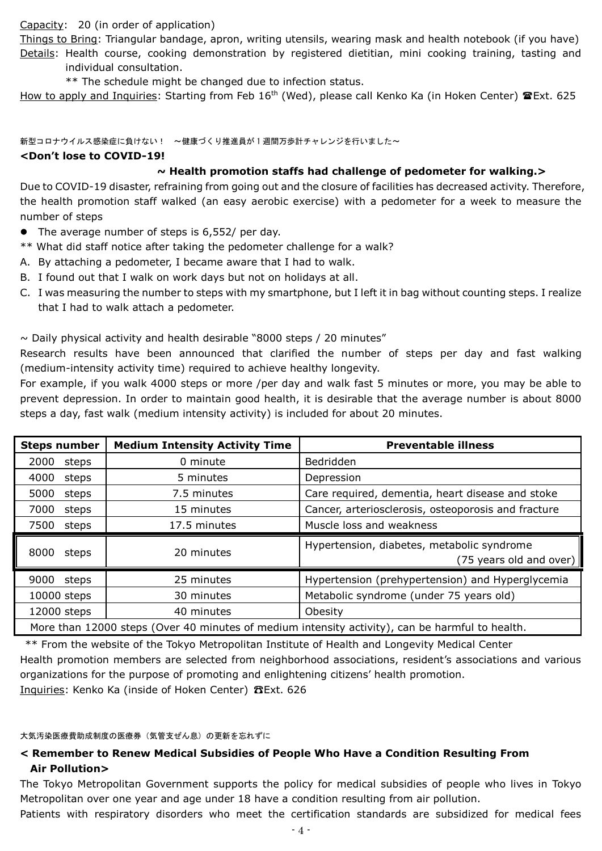Capacity: 20 (in order of application)

Things to Bring: Triangular bandage, apron, writing utensils, wearing mask and health notebook (if you have) Details: Health course, cooking demonstration by registered dietitian, mini cooking training, tasting and individual consultation.

\*\* The schedule might be changed due to infection status.

How to apply and Inquiries: Starting from Feb 16<sup>th</sup> (Wed), please call Kenko Ka (in Hoken Center) **@Ext. 625** 

新型コロナウイルス感染症に負けない! ~健康づくり推進員が1週間万歩計チャレンジを行いました~

#### **<Don't lose to COVID-19!**

# **~ Health promotion staffs had challenge of pedometer for walking.>**

Due to COVID-19 disaster, refraining from going out and the closure of facilities has decreased activity. Therefore, the health promotion staff walked (an easy aerobic exercise) with a pedometer for a week to measure the number of steps

- The average number of steps is 6,552/ per day.
- \*\* What did staff notice after taking the pedometer challenge for a walk?
- A. By attaching a pedometer, I became aware that I had to walk.
- B. I found out that I walk on work days but not on holidays at all.
- C. I was measuring the number to steps with my smartphone, but I left it in bag without counting steps. I realize that I had to walk attach a pedometer.

 $\sim$  Daily physical activity and health desirable "8000 steps / 20 minutes"

Research results have been announced that clarified the number of steps per day and fast walking (medium-intensity activity time) required to achieve healthy longevity.

For example, if you walk 4000 steps or more /per day and walk fast 5 minutes or more, you may be able to prevent depression. In order to maintain good health, it is desirable that the average number is about 8000 steps a day, fast walk (medium intensity activity) is included for about 20 minutes.

| <b>Steps number</b> | <b>Medium Intensity Activity Time</b>                                                          | <b>Preventable illness</b>                                            |  |  |
|---------------------|------------------------------------------------------------------------------------------------|-----------------------------------------------------------------------|--|--|
| 2000<br>steps       | 0 minute                                                                                       | <b>Bedridden</b>                                                      |  |  |
| 4000<br>steps       | 5 minutes                                                                                      | Depression                                                            |  |  |
| 5000<br>steps       | 7.5 minutes                                                                                    | Care required, dementia, heart disease and stoke                      |  |  |
| 7000<br>steps       | 15 minutes                                                                                     | Cancer, arteriosclerosis, osteoporosis and fracture                   |  |  |
| 7500<br>steps       | 17.5 minutes                                                                                   | Muscle loss and weakness                                              |  |  |
| 8000<br>steps       | 20 minutes                                                                                     | Hypertension, diabetes, metabolic syndrome<br>(75 years old and over) |  |  |
| 9000<br>steps       | 25 minutes                                                                                     | Hypertension (prehypertension) and Hyperglycemia                      |  |  |
| 10000 steps         | 30 minutes                                                                                     | Metabolic syndrome (under 75 years old)                               |  |  |
| 12000 steps         | 40 minutes                                                                                     | Obesity                                                               |  |  |
|                     | More than 12000 steps (Over 40 minutes of medium intensity activity), can be harmful to health |                                                                       |  |  |

More than 12000 steps (Over 40 minutes of medium intensity activity), can be harmful to health.

\*\* From the website of the Tokyo Metropolitan Institute of Health and Longevity Medical Center Health promotion members are selected from neighborhood associations, resident's associations and various organizations for the purpose of promoting and enlightening citizens' health promotion. Inquiries: Kenko Ka (inside of Hoken Center) ☎Ext. 626

大気汚染医療費助成制度の医療券(気管支ぜん息)の更新を忘れずに

# **< Remember to Renew Medical Subsidies of People Who Have a Condition Resulting From Air Pollution>**

The Tokyo Metropolitan Government supports the policy for medical subsidies of people who lives in Tokyo Metropolitan over one year and age under 18 have a condition resulting from air pollution.

Patients with respiratory disorders who meet the certification standards are subsidized for medical fees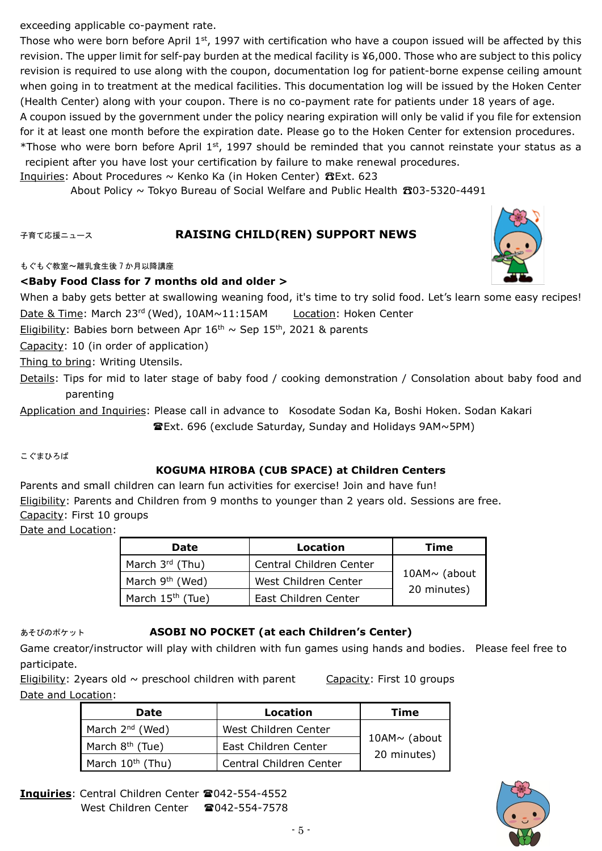exceeding applicable co-payment rate.

Those who were born before April  $1<sup>st</sup>$ , 1997 with certification who have a coupon issued will be affected by this revision. The upper limit for self-pay burden at the medical facility is ¥6,000. Those who are subject to this policy revision is required to use along with the coupon, documentation log for patient-borne expense ceiling amount when going in to treatment at the medical facilities. This documentation log will be issued by the Hoken Center (Health Center) along with your coupon. There is no co-payment rate for patients under 18 years of age.

A coupon issued by the government under the policy nearing expiration will only be valid if you file for extension for it at least one month before the expiration date. Please go to the Hoken Center for extension procedures.

\*Those who were born before April  $1^{st}$ , 1997 should be reminded that you cannot reinstate your status as a recipient after you have lost your certification by failure to make renewal procedures.

Inquiries: About Procedures ~ Kenko Ka (in Hoken Center)  $B$ Ext. 623

About Policy ~ Tokyo Bureau of Social Welfare and Public Health ☎03-5320-4491

## 子育て応援ニュース **RAISING CHILD(REN) SUPPORT NEWS**

もぐもぐ教室~離乳食生後 7 か月以降講座

## **<Baby Food Class for 7 months old and older >**

When a baby gets better at swallowing weaning food, it's time to try solid food. Let's learn some easy recipes!

Date & Time: March 23<sup>rd</sup> (Wed), 10AM~11:15AM Location: Hoken Center Eligibility: Babies born between Apr  $16<sup>th</sup>$  ~ Sep  $15<sup>th</sup>$ , 2021 & parents

Capacity: 10 (in order of application)

Thing to bring: Writing Utensils.

Details: Tips for mid to later stage of baby food / cooking demonstration / Consolation about baby food and parenting

Application and Inquiries: Please call in advance to Kosodate Sodan Ka, Boshi Hoken. Sodan Kakari Ext. 696 (exclude Saturday, Sunday and Holidays 9AM~5PM)

こぐまひろば

# **KOGUMA HIROBA (CUB SPACE) at Children Centers**

Parents and small children can learn fun activities for exercise! Join and have fun! Eligibility: Parents and Children from 9 months to younger than 2 years old. Sessions are free. Capacity: First 10 groups

Date and Location:

| <b>Date</b>                  | Location                | Time               |
|------------------------------|-------------------------|--------------------|
| March 3rd (Thu)              | Central Children Center |                    |
| March 9 <sup>th</sup> (Wed)  | West Children Center    | 10AM $\sim$ (about |
| March 15 <sup>th</sup> (Tue) | East Children Center    | 20 minutes)        |

#### あそびのポケット **ASOBI NO POCKET (at each Children's Center)**

Game creator/instructor will play with children with fun games using hands and bodies. Please feel free to participate.

Eligibility: 2years old  $\sim$  preschool children with parent Capacity: First 10 groups Date and Location:

**Date Location Time** March 2<sup>nd</sup> (Wed) | West Children Center 10AM~ (about 20 minutes) March 8<sup>th</sup> (Tue) East Children Center March  $10^{th}$  (Thu) Central Children Center



**Inquiries: Central Children Center 2042-554-4552** West Children Center 2042-554-7578

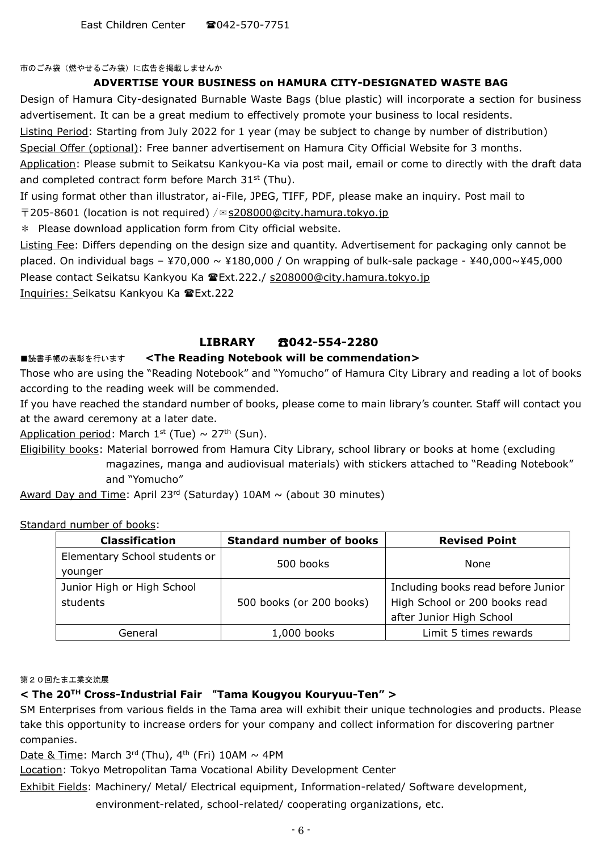East Children Center  $\otimes$  042-570-7751

市のごみ袋(燃やせるごみ袋)に広告を掲載しませんか

#### **ADVERTISE YOUR BUSINESS on HAMURA CITY-DESIGNATED WASTE BAG**

Design of Hamura City-designated Burnable Waste Bags (blue plastic) will incorporate a section for business advertisement. It can be a great medium to effectively promote your business to local residents.

Listing Period: Starting from July 2022 for 1 year (may be subject to change by number of distribution)

Special Offer (optional): Free banner advertisement on Hamura City Official Website for 3 months.

Application: Please submit to Seikatsu Kankyou-Ka via post mail, email or come to directly with the draft data and completed contract form before March  $31<sup>st</sup>$  (Thu).

If using format other than illustrator, ai-File, JPEG, TIFF, PDF, please make an inquiry. Post mail to

 $\overline{T}$ 205-8601 (location is not required) / $\approx$  [s208000@city.hamura.tokyo.jp](mailto:s208000@city.hamura.tokyo.jp)

\* Please download application form from City official website.

Listing Fee: Differs depending on the design size and quantity. Advertisement for packaging only cannot be placed. On individual bags – ¥70,000  $\sim$  ¥180,000 / On wrapping of bulk-sale package - ¥40,000 $\sim$ ¥45,000 Please contact Seikatsu Kankyou Ka Ext.222./ [s208000@city.hamura.tokyo.jp](mailto:s208000@city.hamura.tokyo.jp)

Inquiries: Seikatsu Kankyou Ka Ext.222

## **LIBRARY** ☎**042-554-2280**

#### ■読書手帳の表彰を行います <The Reading Notebook will be commendation>

Those who are using the "Reading Notebook" and "Yomucho" of Hamura City Library and reading a lot of books according to the reading week will be commended.

If you have reached the standard number of books, please come to main library's counter. Staff will contact you at the award ceremony at a later date.

Application period: March 1<sup>st</sup> (Tue)  $\sim$  27<sup>th</sup> (Sun).

Eligibility books: Material borrowed from Hamura City Library, school library or books at home (excluding magazines, manga and audiovisual materials) with stickers attached to "Reading Notebook" and "Yomucho"

Award Day and Time: April 23<sup>rd</sup> (Saturday)  $10$ AM  $\sim$  (about 30 minutes)

Standard number of books:

| <b>Classification</b>                    | <b>Standard number of books</b> | <b>Revised Point</b>                                                                            |
|------------------------------------------|---------------------------------|-------------------------------------------------------------------------------------------------|
| Elementary School students or<br>younger | 500 books                       | None                                                                                            |
| Junior High or High School<br>students   | 500 books (or 200 books)        | Including books read before Junior<br>High School or 200 books read<br>after Junior High School |
| General                                  | 1,000 books                     | Limit 5 times rewards                                                                           |

第20回たま工業交流展

#### **< The 20TH Cross-Industrial Fair** "**Tama Kougyou Kouryuu-Ten" >**

SM Enterprises from various fields in the Tama area will exhibit their unique technologies and products. Please take this opportunity to increase orders for your company and collect information for discovering partner companies.

Date & Time: March 3rd (Thu),  $4^{\text{th}}$  (Fri) 10AM  $\sim 4$ PM

Location: Tokyo Metropolitan Tama Vocational Ability Development Center

Exhibit Fields: Machinery/ Metal/ Electrical equipment, Information-related/ Software development,

environment-related, school-related/ cooperating organizations, etc.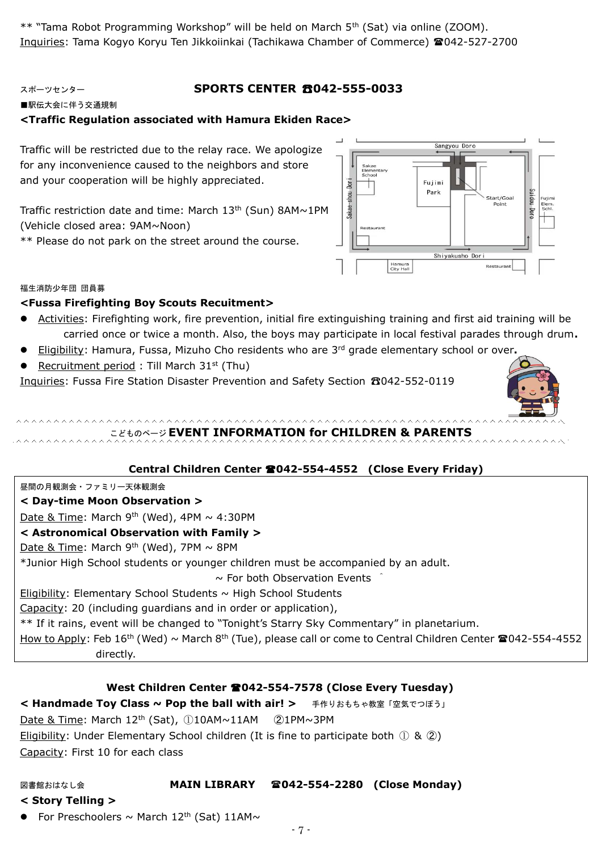\*\* "Tama Robot Programming Workshop" will be held on March 5th (Sat) via online (ZOOM). Inquiries: Tama Kogyo Koryu Ten Jikkoiinkai (Tachikawa Chamber of Commerce) 042-527-2700

# スポーツセンター **SPORTS CENTER** ☎**042-555-0033**

■駅伝大会に伴う交通規制

## **<Traffic Regulation associated with Hamura Ekiden Race>**

Traffic will be restricted due to the relay race. We apologize for any inconvenience caused to the neighbors and store and your cooperation will be highly appreciated.

Traffic restriction date and time: March  $13<sup>th</sup>$  (Sun) 8AM~1PM (Vehicle closed area: 9AM~Noon)

\*\* Please do not park on the street around the course.



#### 福生消防少年団 団員募

#### **<Fussa Firefighting Boy Scouts Recuitment>**

- Activities: Firefighting work, fire prevention, initial fire extinguishing training and first aid training will be carried once or twice a month. Also, the boys may participate in local festival parades through drum**.**
- Eligibility: Hamura, Fussa, Mizuho Cho residents who are 3rd grade elementary school or over**.**
- Recruitment period : Till March 31st (Thu)

Inquiries: Fussa Fire Station Disaster Prevention and Safety Section ☎042-552-0119



こどものページ **EVENT INFORMATION for CHILDREN & PARENTS**

#### **Central Children Center 042-554-4552 (Close Every Friday)**

#### 昼間の月観測会・ファミリー天体観測会

#### **< Day-time Moon Observation >**

**AAAAAAAAAAAAA** 

Date & Time: March 9<sup>th</sup> (Wed), 4PM  $\sim 4:30$ PM

#### **< Astronomical Observation with Family >**

Date & Time: March 9<sup>th</sup> (Wed), 7PM  $\sim$  8PM

\*Junior High School students or younger children must be accompanied by an adult.

 $\sim$  For both Observation Events

Eligibility: Elementary School Students  $\sim$  High School Students

Capacity: 20 (including guardians and in order or application),

\*\* If it rains, event will be changed to "Tonight's Starry Sky Commentary" in planetarium.

How to Apply: Feb 16<sup>th</sup> (Wed) ~ March 8<sup>th</sup> (Tue), please call or come to Central Children Center <sup>2</sup>042-554-4552 directly.

#### **West Children Center 042-554-7578 (Close Every Tuesday)**

**< Handmade Toy Class ~ Pop the ball with air! >** 手作りおもちゃ教室「空気でつぽう」 Date & Time: March 12th (Sat), ①10AM~11AM ➁1PM~3PM Eligibility: Under Elementary School children (It is fine to participate both  $(1)$  &  $(2)$ )

Capacity: First 10 for each class

#### 図書館おはなし会 **MAIN LIBRARY 042-554-2280 (Close Monday)**

- **< Story Telling >**
- For Preschoolers  $\sim$  March 12<sup>th</sup> (Sat) 11AM $\sim$